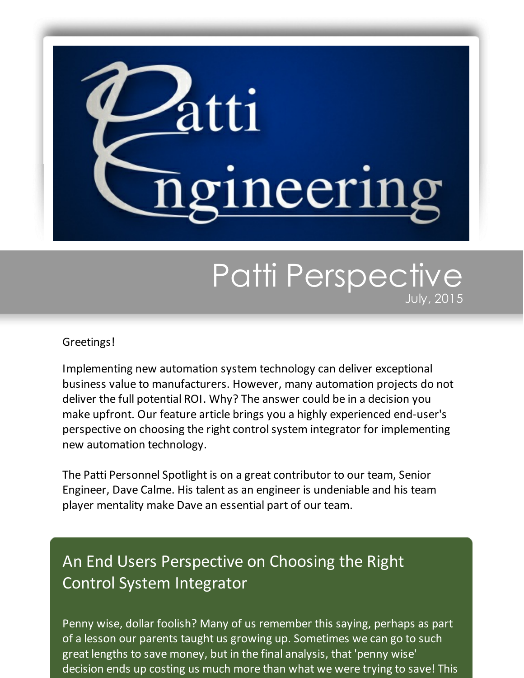

## Patti Perspective July, 2015

## Greetings!

Implementing new automation system technology can deliver exceptional business value to manufacturers. However, many automation projects do not deliver the full potential ROI. Why? The answer could be in a decision you make upfront. Our feature article brings you a highly experienced end-user's perspective on choosing the right control system integrator for implementing new automation technology.

The Patti Personnel Spotlight is on a great contributor to our team, Senior Engineer, Dave Calme. His talent as an engineer is undeniable and his team player mentality make Dave an essential part of our team.

## An End Users Perspective on Choosing the Right Control System Integrator

Penny wise, dollar foolish? Many of us remember this saying, perhaps as part of a lesson our parents taught us growing up. Sometimes we can go to such great lengths to save money, but in the final analysis, that 'penny wise' decision ends up costing us much more than what we were trying to save! This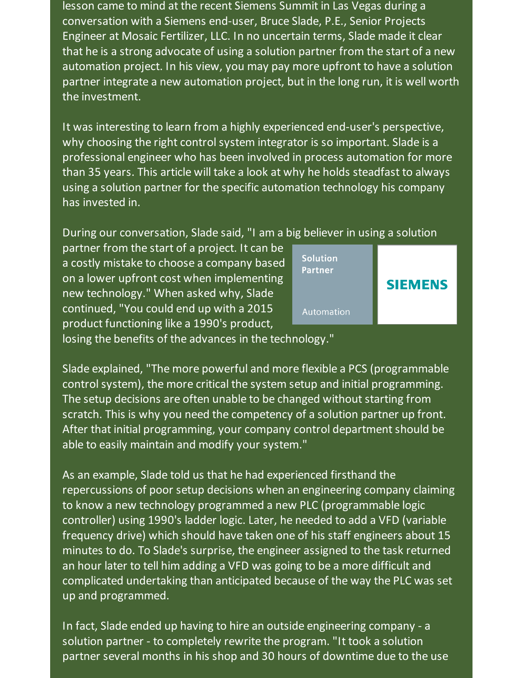lesson came to mind at the recent Siemens Summit in Las Vegas during a conversation with a Siemens end-user, Bruce Slade, P.E., Senior Projects Engineer at Mosaic Fertilizer, LLC. In no uncertain terms, Slade made it clear that he is a strong advocate of using a solution partner from the start of a new automation project. In his view, you may pay more upfront to have a solution partner integrate a new automation project, but in the long run, it is well worth the investment.

It was interesting to learn from a highly experienced end-user's perspective, why choosing the right control system integrator is so important. Slade is a professional engineer who has been involved in process automation for more than 35 years. This article will take a look at why he holds steadfast to always using a solution partner for the specific automation technology his company has invested in.

During our conversation, Slade said, "I am a big believer in using a solution

partner from the start of a project. It can be a costly mistake to choose a company based on a lower upfront cost when implementing new technology." When asked why, Slade continued, "You could end up with a 2015 product functioning like a 1990's product,



losing the benefits of the advances in the technology."

Slade explained, "The more powerful and more flexible a PCS (programmable control system), the more critical the system setup and initial programming. The setup decisions are often unable to be changed without starting from scratch. This is why you need the competency of a solution partner up front. After that initial programming, your company control department should be able to easily maintain and modify your system."

As an example, Slade told us that he had experienced firsthand the repercussions of poor setup decisions when an engineering company claiming to know a new technology programmed a new PLC (programmable logic controller) using 1990's ladder logic. Later, he needed to add a VFD (variable frequency drive) which should have taken one of his staff engineers about 15 minutes to do. To Slade's surprise, the engineer assigned to the task returned an hour later to tell him adding a VFD was going to be a more difficult and complicated undertaking than anticipated because of the way the PLC was set up and programmed.

In fact, Slade ended up having to hire an outside engineering company - a solution partner - to completely rewrite the program. "It took a solution partner several months in his shop and 30 hours of downtime due to the use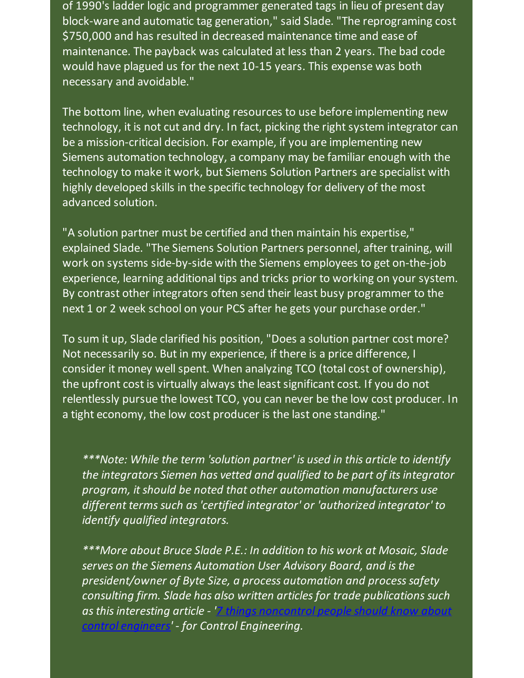of 1990's ladder logic and programmer generated tags in lieu of present day block-ware and automatic tag generation," said Slade. "The reprograming cost \$750,000 and has resulted in decreased maintenance time and ease of maintenance. The payback was calculated at less than 2 years. The bad code would have plagued us for the next 10-15 years. This expense was both necessary and avoidable."

The bottom line, when evaluating resources to use before implementing new technology, it is not cut and dry. In fact, picking the right system integrator can be a mission-critical decision. For example, if you are implementing new Siemens automation technology, a company may be familiar enough with the technology to make it work, but Siemens Solution Partners are specialist with highly developed skills in the specific technology for delivery of the most advanced solution.

"A solution partner must be certified and then maintain his expertise," explained Slade. "The Siemens Solution Partners personnel, after training, will work on systems side-by-side with the Siemens employees to get on-the-job experience, learning additional tips and tricks prior to working on your system. By contrast other integrators often send their least busy programmer to the next 1 or 2 week school on your PCS after he gets your purchase order."

To sum it up, Slade clarified his position, "Does a solution partner cost more? Not necessarily so. But in my experience, if there is a price difference, I consider it money well spent. When analyzing TCO (total cost of ownership), the upfront cost is virtually always the least significant cost. If you do not relentlessly pursue the lowest TCO, you can never be the low cost producer. In a tight economy, the low cost producer is the last one standing."

*\*\*\*Note: While the term 'solution partner' is used in this article to identify the integrators Siemen has vetted and qualified to be part of itsintegrator program, it should be noted that other automation manufacturers use different termssuch as'certified integrator' or 'authorized integrator' to identify qualified integrators.*

*\*\*\*More about Bruce Slade P.E.: In addition to his work at Mosaic, Slade serves on the Siemens Automation User Advisory Board, and isthe president/owner of Byte Size, a process automation and processsafety consulting firm. Slade has also written articlesfor trade publicationssuch [asthisinteresting](http://www.controleng.com/single-article/7-things-noncontrol-people-should-know-about-control-engineers?utm_source=Patti+Perspective_July_2015&utm_campaign=Newsletter+July+2015&utm_medium=email) article - '7 things noncontrol people should know about*  $'$  - for *Control Engineering.*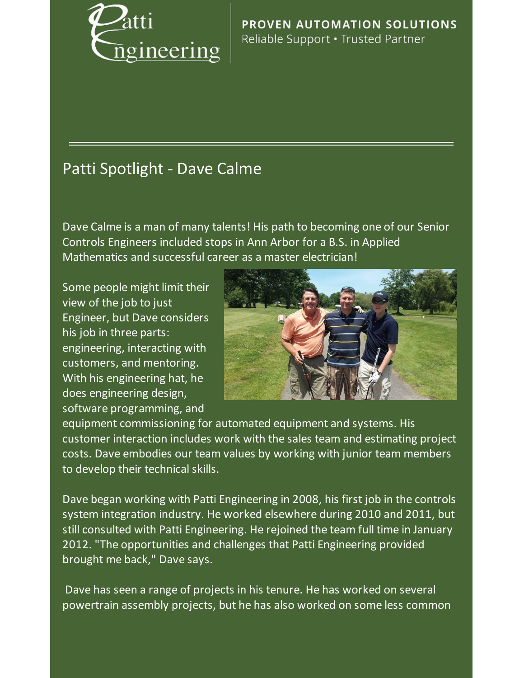

PROVEN AUTOMATION SOLUTIONS Reliable Support . Trusted Partner

## Patti Spotlight - Dave Calme

Dave Calme is a man of many talents! His path to becoming one of our Senior Controls Engineers included stops in Ann Arbor for a B.S. in Applied Mathematics and successful career as a master electrician!

Some people might limit their view of the job to just Engineer, but Dave considers his job in three parts: engineering, interacting with customers, and mentoring. With his engineering hat, he does engineering design, software programming, and



equipment commissioning for automated equipment and systems. His customer interaction includes work with the sales team and estimating project costs. Dave embodies our team values by working with junior team members to develop their technical skills.

Dave began working with Patti Engineering in 2008, his first job in the controls system integration industry. He worked elsewhere during 2010 and 2011, but still consulted with Patti Engineering. He rejoined the team full time in January 2012. "The opportunities and challenges that Patti Engineering provided brought me back," Dave says.

Dave has seen a range of projects in his tenure. He has worked on several powertrain assembly projects, but he has also worked on some less common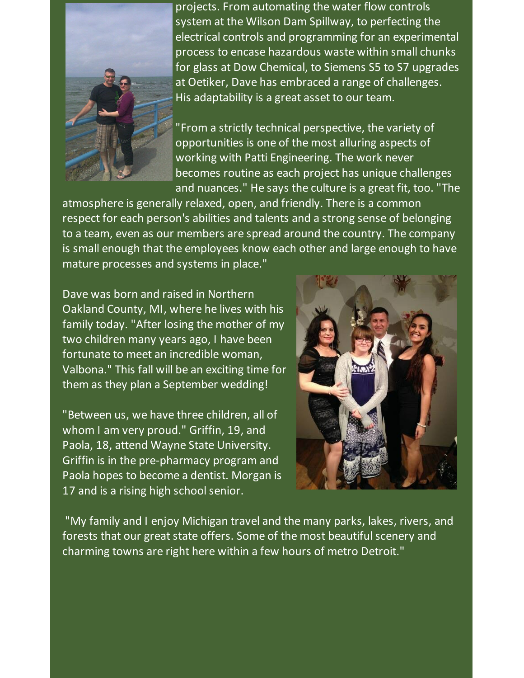

projects. From automating the water flow controls system at the Wilson Dam Spillway, to perfecting the electrical controls and programming for an experimental process to encase hazardous waste within small chunks for glass at Dow Chemical, to Siemens S5 to S7 upgrades at Oetiker, Dave has embraced a range of challenges. His adaptability is a great asset to our team.

"From a strictly technical perspective, the variety of opportunities is one of the most alluring aspects of working with Patti Engineering. The work never becomes routine as each project has unique challenges and nuances." He says the culture is a great fit, too. "The

atmosphere is generally relaxed, open, and friendly. There is a common respect for each person's abilities and talents and a strong sense of belonging to a team, even as our members are spread around the country. The company is small enough that the employees know each other and large enough to have mature processes and systems in place."

Dave was born and raised in Northern Oakland County, MI, where he lives with his family today. "After losing the mother of my two children many years ago, I have been fortunate to meet an incredible woman, Valbona." This fall will be an exciting time for them as they plan a September wedding!

"Between us, we have three children, all of whom I am very proud." Griffin, 19, and Paola, 18, attend Wayne State University. Griffin is in the pre-pharmacy program and Paola hopes to become a dentist. Morgan is 17 and is a rising high school senior.



"My family and I enjoy Michigan travel and the many parks, lakes, rivers, and forests that our great state offers. Some of the most beautiful scenery and charming towns are right here within a few hours of metro Detroit."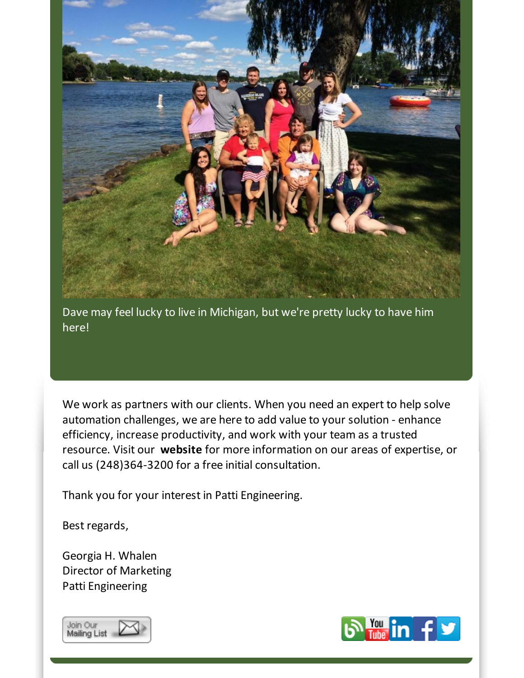

Dave may feel lucky to live in Michigan, but we're pretty lucky to have him here!

We work as partners with our clients. When you need an expert to help solve automation challenges, we are here to add value to your solution - enhance efficiency, increase productivity, and work with your team as a trusted resource. Visit our **[website](http://www.pattieng.com/?utm_source=Patti+Perspective_July_2015&utm_campaign=Newsletter+July+2015&utm_medium=email)** for more information on our areas of expertise, or call us (248)364-3200 for a free initial consultation.

Thank you for your interest in Patti Engineering.

Best regards,

Georgia H. Whalen Director of Marketing Patti Engineering